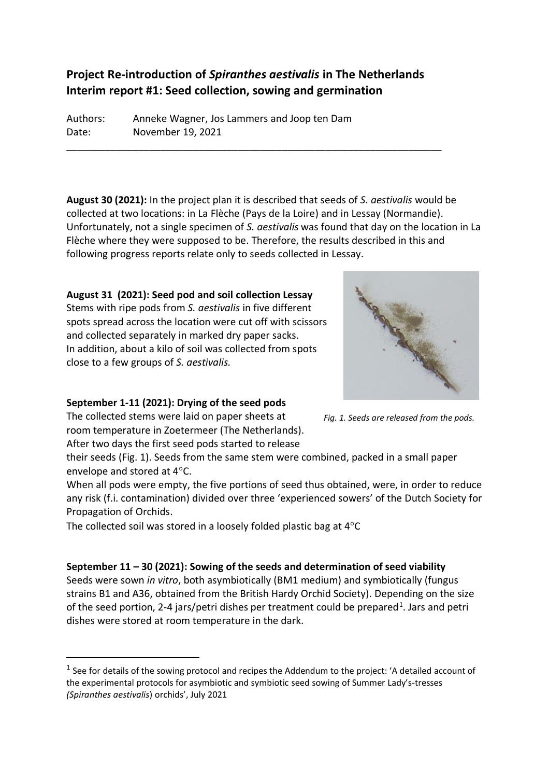# **Project Re-introduction of** *Spiranthes aestivalis* **in The Netherlands Interim report #1: Seed collection, sowing and germination**

\_\_\_\_\_\_\_\_\_\_\_\_\_\_\_\_\_\_\_\_\_\_\_\_\_\_\_\_\_\_\_\_\_\_\_\_\_\_\_\_\_\_\_\_\_\_\_\_\_\_\_\_\_\_\_\_\_\_\_\_\_\_\_\_\_\_\_\_

Authors: Anneke Wagner, Jos Lammers and Joop ten Dam Date: November 19, 2021

**August 30 (2021):** In the project plan it is described that seeds of *S. aestivalis* would be collected at two locations: in La Flèche (Pays de la Loire) and in Lessay (Normandie). Unfortunately, not a single specimen of *S. aestivalis* was found that day on the location in La Flèche where they were supposed to be. Therefore, the results described in this and following progress reports relate only to seeds collected in Lessay.

**August 31 (2021): Seed pod and soil collection Lessay** Stems with ripe pods from *S. aestivalis* in five different spots spread across the location were cut off with scissors and collected separately in marked dry paper sacks. In addition, about a kilo of soil was collected from spots close to a few groups of *S. aestivalis.*



*Fig. 1. Seeds are released from the pods.*

## **September 1-11 (2021): Drying of the seed pods**

The collected stems were laid on paper sheets at room temperature in Zoetermeer (The Netherlands).

After two days the first seed pods started to release

their seeds (Fig. 1). Seeds from the same stem were combined, packed in a small paper envelope and stored at 4°C.

When all pods were empty, the five portions of seed thus obtained, were, in order to reduce any risk (f.i. contamination) divided over three 'experienced sowers' of the Dutch Society for Propagation of Orchids.

The collected soil was stored in a loosely folded plastic bag at  $4^{\circ}$ C

## **September 11 – 30 (2021): Sowing of the seeds and determination of seed viability**

Seeds were sown *in vitro*, both asymbiotically (BM1 medium) and symbiotically (fungus strains B1 and A36, obtained from the British Hardy Orchid Society). Depending on the size of the seed portion, 2-4 jars/petri dishes per treatment could be prepared<sup>1</sup>. Jars and petri dishes were stored at room temperature in the dark.

 $<sup>1</sup>$  See for details of the sowing protocol and recipes the Addendum to the project: 'A detailed account of</sup> the experimental protocols for asymbiotic and symbiotic seed sowing of Summer Lady's-tresses *(Spiranthes aestivalis*) orchids', July 2021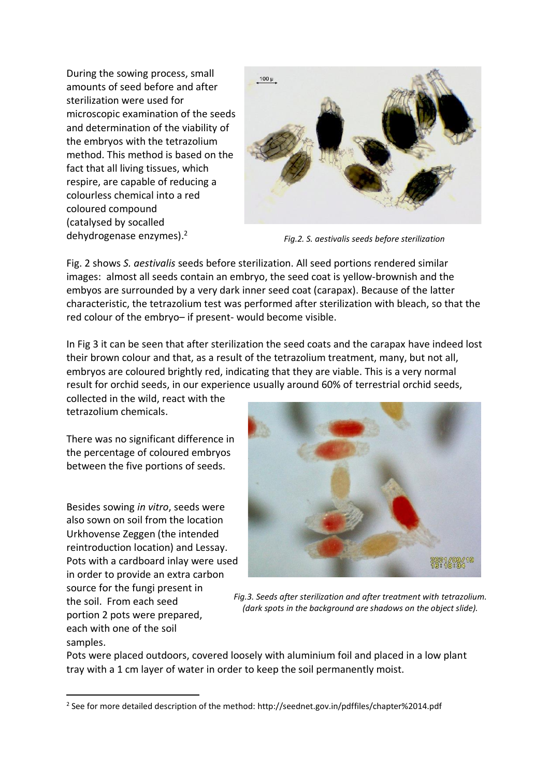During the sowing process, small amounts of seed before and after sterilization were used for microscopic examination of the seeds and determination of the viability of the embryos with the tetrazolium method. This method is based on the fact that all living tissues, which respire, are capable of reducing a colourless chemical into a red coloured compound (catalysed by socalled dehydrogenase enzymes). 2



*Fig.2. S. aestivalis seeds before sterilization*

Fig. 2 shows *S. aestivalis* seeds before sterilization. All seed portions rendered similar images: almost all seeds contain an embryo, the seed coat is yellow-brownish and the embyos are surrounded by a very dark inner seed coat (carapax). Because of the latter characteristic, the tetrazolium test was performed after sterilization with bleach, so that the red colour of the embryo– if present- would become visible.

In Fig 3 it can be seen that after sterilization the seed coats and the carapax have indeed lost their brown colour and that, as a result of the tetrazolium treatment, many, but not all, embryos are coloured brightly red, indicating that they are viable. This is a very normal result for orchid seeds, in our experience usually around 60% of terrestrial orchid seeds,

collected in the wild, react with the tetrazolium chemicals.

There was no significant difference in the percentage of coloured embryos between the five portions of seeds.

Besides sowing *in vitro*, seeds were also sown on soil from the location Urkhovense Zeggen (the intended reintroduction location) and Lessay. Pots with a cardboard inlay were used in order to provide an extra carbon source for the fungi present in the soil. From each seed portion 2 pots were prepared, each with one of the soil samples.



*Fig.3. Seeds after sterilization and after treatment with tetrazolium. (dark spots in the background are shadows on the object slide).*

Pots were placed outdoors, covered loosely with aluminium foil and placed in a low plant tray with a 1 cm layer of water in order to keep the soil permanently moist.

<sup>2</sup> See for more detailed description of the method: http://seednet.gov.in/pdffiles/chapter%2014.pdf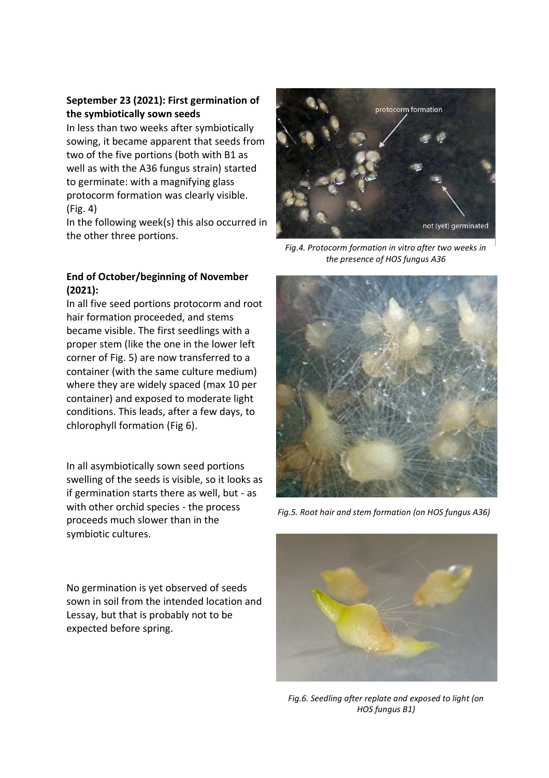## **September 23 (2021): First germination of the symbiotically sown seeds**

In less than two weeks after symbiotically sowing, it became apparent that seeds from two of the five portions (both with B1 as well as with the A36 fungus strain) started to germinate: with a magnifying glass protocorm formation was clearly visible. (Fig. 4)

In the following week(s) this also occurred in the other three portions.

#### **End of October/beginning of November (2021):**

In all five seed portions protocorm and root hair formation proceeded, and stems became visible. The first seedlings with a proper stem (like the one in the lower left corner of Fig. 5) are now transferred to a container (with the same culture medium) where they are widely spaced (max 10 per container) and exposed to moderate light conditions. This leads, after a few days, to chlorophyll formation (Fig 6).

In all asymbiotically sown seed portions swelling of the seeds is visible, so it looks as if germination starts there as well, but - as with other orchid species - the process proceeds much slower than in the symbiotic cultures.

No germination is yet observed of seeds sown in soil from the intended location and Lessay, but that is probably not to be expected before spring.



*Fig.4. Protocorm formation in vitro after two weeks in the presence of HOS fungus A36* 



*Fig.5. Root hair and stem formation (on HOS fungus A36)*



*Fig.6. Seedling after replate and exposed to light (on HOS fungus B1)*